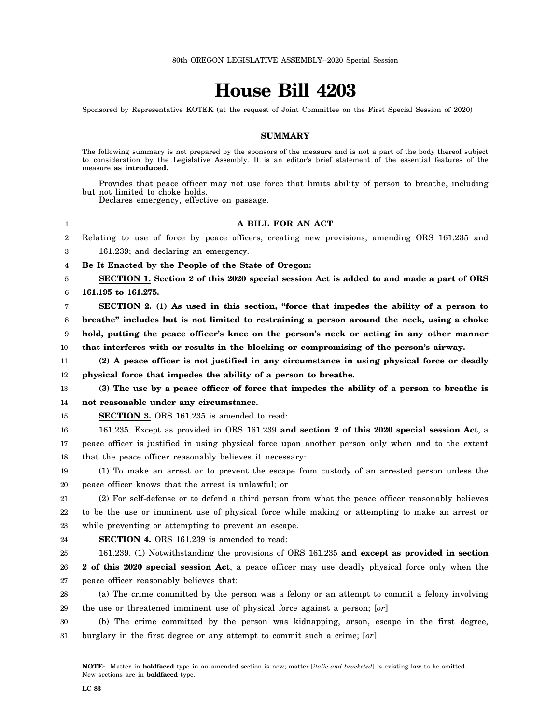## **House Bill 4203**

Sponsored by Representative KOTEK (at the request of Joint Committee on the First Special Session of 2020)

## **SUMMARY**

The following summary is not prepared by the sponsors of the measure and is not a part of the body thereof subject to consideration by the Legislative Assembly. It is an editor's brief statement of the essential features of the measure **as introduced.**

Provides that peace officer may not use force that limits ability of person to breathe, including but not limited to choke holds.

Declares emergency, effective on passage.

## **A BILL FOR AN ACT**

2 Relating to use of force by peace officers; creating new provisions; amending ORS 161.235 and

3 161.239; and declaring an emergency.

4 **Be It Enacted by the People of the State of Oregon:**

5 6 **SECTION 1. Section 2 of this 2020 special session Act is added to and made a part of ORS 161.195 to 161.275.**

7 8 9 10 **SECTION 2. (1) As used in this section, "force that impedes the ability of a person to breathe" includes but is not limited to restraining a person around the neck, using a choke hold, putting the peace officer's knee on the person's neck or acting in any other manner that interferes with or results in the blocking or compromising of the person's airway.**

11 12 **(2) A peace officer is not justified in any circumstance in using physical force or deadly physical force that impedes the ability of a person to breathe.**

13 14 **(3) The use by a peace officer of force that impedes the ability of a person to breathe is not reasonable under any circumstance.**

15 **SECTION 3.** ORS 161.235 is amended to read:

16 17 18 161.235. Except as provided in ORS 161.239 **and section 2 of this 2020 special session Act**, a peace officer is justified in using physical force upon another person only when and to the extent that the peace officer reasonably believes it necessary:

19 20 (1) To make an arrest or to prevent the escape from custody of an arrested person unless the peace officer knows that the arrest is unlawful; or

21 22 23 (2) For self-defense or to defend a third person from what the peace officer reasonably believes to be the use or imminent use of physical force while making or attempting to make an arrest or while preventing or attempting to prevent an escape.

24

1

**SECTION 4.** ORS 161.239 is amended to read:

25 161.239. (1) Notwithstanding the provisions of ORS 161.235 **and except as provided in section**

26 27 **2 of this 2020 special session Act**, a peace officer may use deadly physical force only when the peace officer reasonably believes that:

28 29 (a) The crime committed by the person was a felony or an attempt to commit a felony involving the use or threatened imminent use of physical force against a person; [*or*]

30 31 (b) The crime committed by the person was kidnapping, arson, escape in the first degree, burglary in the first degree or any attempt to commit such a crime; [*or*]